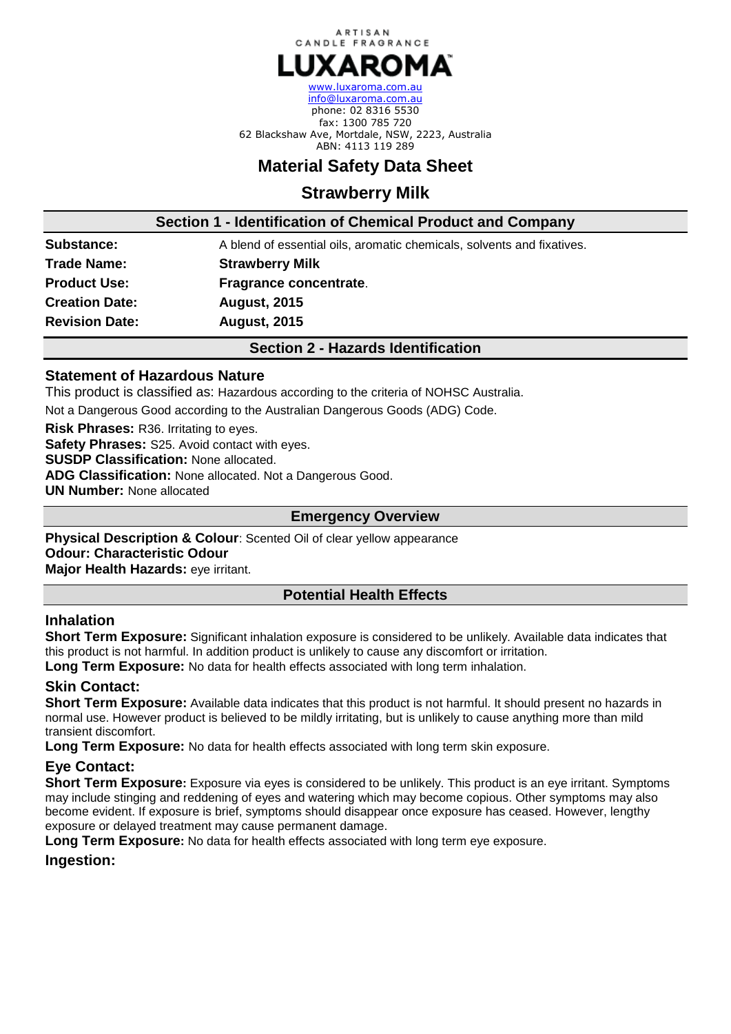

[www.luxaroma.com.au](http://www.naturalcandlesupply.com.au/)  [info@luxaroma.com.au](mailto:accounts@naturalcandlesupply.com.au) phone: 02 8316 5530 fax: 1300 785 720 62 Blackshaw Ave, Mortdale, NSW, 2223, Australia ABN: 4113 119 289

# **Material Safety Data Sheet**

# **Strawberry Milk**

**Section 1 - Identification of Chemical Product and Company**

**Substance: A** blend of essential oils, aromatic chemicals, solvents and fixatives. **Trade Name: Strawberry Milk Product Use: Fragrance concentrate**. **Creation Date: August, 2015 Revision Date: August, 2015**

**Section 2 - Hazards Identification**

# **Statement of Hazardous Nature**

This product is classified as: Hazardous according to the criteria of NOHSC Australia.

Not a Dangerous Good according to the Australian Dangerous Goods (ADG) Code.

**Risk Phrases:** R36. Irritating to eyes. **Safety Phrases:** S25. Avoid contact with eyes. **SUSDP Classification:** None allocated. **ADG Classification:** None allocated. Not a Dangerous Good. **UN Number:** None allocated

## **Emergency Overview**

**Physical Description & Colour:** Scented Oil of clear yellow appearance **Odour: Characteristic Odour Major Health Hazards:** eye irritant.

# **Potential Health Effects**

# **Inhalation**

**Short Term Exposure:** Significant inhalation exposure is considered to be unlikely. Available data indicates that this product is not harmful. In addition product is unlikely to cause any discomfort or irritation.

**Long Term Exposure:** No data for health effects associated with long term inhalation.

## **Skin Contact:**

**Short Term Exposure:** Available data indicates that this product is not harmful. It should present no hazards in normal use. However product is believed to be mildly irritating, but is unlikely to cause anything more than mild transient discomfort.

**Long Term Exposure:** No data for health effects associated with long term skin exposure.

# **Eye Contact:**

**Short Term Exposure:** Exposure via eyes is considered to be unlikely. This product is an eye irritant. Symptoms may include stinging and reddening of eyes and watering which may become copious. Other symptoms may also become evident. If exposure is brief, symptoms should disappear once exposure has ceased. However, lengthy exposure or delayed treatment may cause permanent damage.

**Long Term Exposure:** No data for health effects associated with long term eye exposure.

**Ingestion:**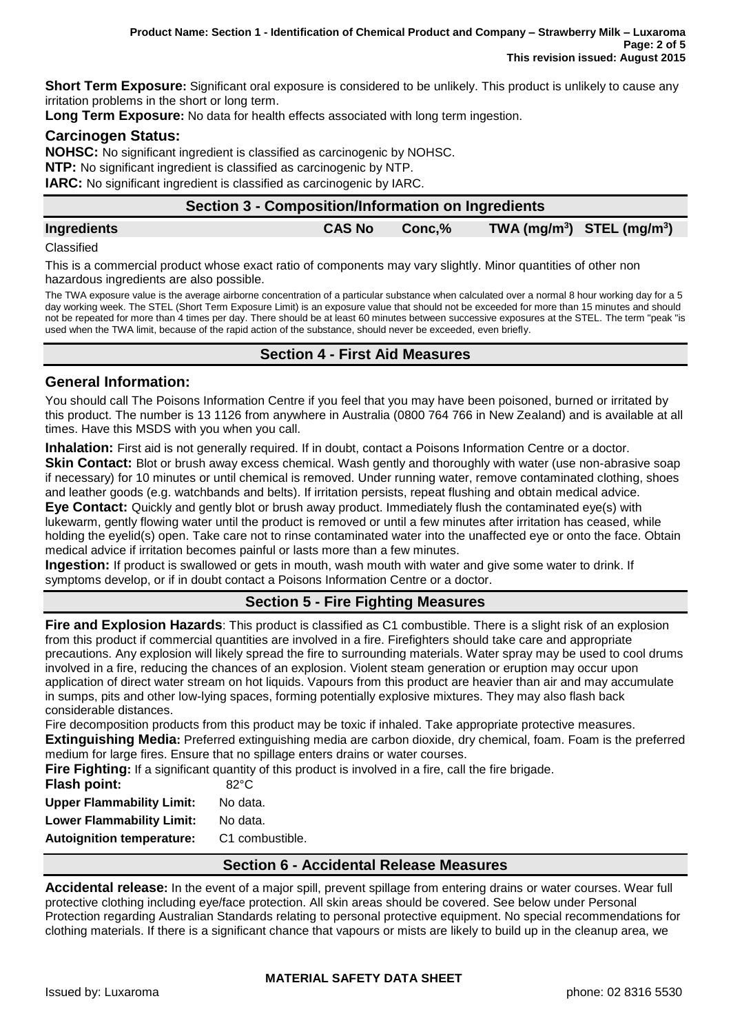**Short Term Exposure:** Significant oral exposure is considered to be unlikely. This product is unlikely to cause any irritation problems in the short or long term.

**Long Term Exposure:** No data for health effects associated with long term ingestion.

## **Carcinogen Status:**

**NOHSC:** No significant ingredient is classified as carcinogenic by NOHSC. **NTP:** No significant ingredient is classified as carcinogenic by NTP.

**IARC:** No significant ingredient is classified as carcinogenic by IARC.

| Section 3 - Composition/Information on Ingredients |               |        |  |                                                      |
|----------------------------------------------------|---------------|--------|--|------------------------------------------------------|
| <b>Ingredients</b>                                 | <b>CAS No</b> | Conc.% |  | $TWA$ (mg/m <sup>3</sup> ) STEL (mg/m <sup>3</sup> ) |

**Classified** 

This is a commercial product whose exact ratio of components may vary slightly. Minor quantities of other non hazardous ingredients are also possible.

The TWA exposure value is the average airborne concentration of a particular substance when calculated over a normal 8 hour working day for a 5 day working week. The STEL (Short Term Exposure Limit) is an exposure value that should not be exceeded for more than 15 minutes and should not be repeated for more than 4 times per day. There should be at least 60 minutes between successive exposures at the STEL. The term "peak "is used when the TWA limit, because of the rapid action of the substance, should never be exceeded, even briefly.

# **Section 4 - First Aid Measures**

## **General Information:**

You should call The Poisons Information Centre if you feel that you may have been poisoned, burned or irritated by this product. The number is 13 1126 from anywhere in Australia (0800 764 766 in New Zealand) and is available at all times. Have this MSDS with you when you call.

**Inhalation:** First aid is not generally required. If in doubt, contact a Poisons Information Centre or a doctor.

**Skin Contact:** Blot or brush away excess chemical. Wash gently and thoroughly with water (use non-abrasive soap if necessary) for 10 minutes or until chemical is removed. Under running water, remove contaminated clothing, shoes and leather goods (e.g. watchbands and belts). If irritation persists, repeat flushing and obtain medical advice.

**Eye Contact:** Quickly and gently blot or brush away product. Immediately flush the contaminated eye(s) with lukewarm, gently flowing water until the product is removed or until a few minutes after irritation has ceased, while holding the eyelid(s) open. Take care not to rinse contaminated water into the unaffected eye or onto the face. Obtain medical advice if irritation becomes painful or lasts more than a few minutes.

**Ingestion:** If product is swallowed or gets in mouth, wash mouth with water and give some water to drink. If symptoms develop, or if in doubt contact a Poisons Information Centre or a doctor.

# **Section 5 - Fire Fighting Measures**

**Fire and Explosion Hazards**: This product is classified as C1 combustible. There is a slight risk of an explosion from this product if commercial quantities are involved in a fire. Firefighters should take care and appropriate precautions. Any explosion will likely spread the fire to surrounding materials. Water spray may be used to cool drums involved in a fire, reducing the chances of an explosion. Violent steam generation or eruption may occur upon application of direct water stream on hot liquids. Vapours from this product are heavier than air and may accumulate in sumps, pits and other low-lying spaces, forming potentially explosive mixtures. They may also flash back considerable distances.

Fire decomposition products from this product may be toxic if inhaled. Take appropriate protective measures. **Extinguishing Media:** Preferred extinguishing media are carbon dioxide, dry chemical, foam. Foam is the preferred medium for large fires. Ensure that no spillage enters drains or water courses.

| Fire Fighting: If a significant quantity of this product is involved in a fire, call the fire brigade. |                 |  |  |  |
|--------------------------------------------------------------------------------------------------------|-----------------|--|--|--|
| <b>Flash point:</b>                                                                                    | $82^{\circ}$ C  |  |  |  |
| <b>Upper Flammability Limit:</b>                                                                       | No data.        |  |  |  |
| <b>Lower Flammability Limit:</b>                                                                       | No data.        |  |  |  |
| <b>Autoignition temperature:</b>                                                                       | C1 combustible. |  |  |  |

#### **Section 6 - Accidental Release Measures**

**Accidental release:** In the event of a major spill, prevent spillage from entering drains or water courses. Wear full protective clothing including eye/face protection. All skin areas should be covered. See below under Personal Protection regarding Australian Standards relating to personal protective equipment. No special recommendations for clothing materials. If there is a significant chance that vapours or mists are likely to build up in the cleanup area, we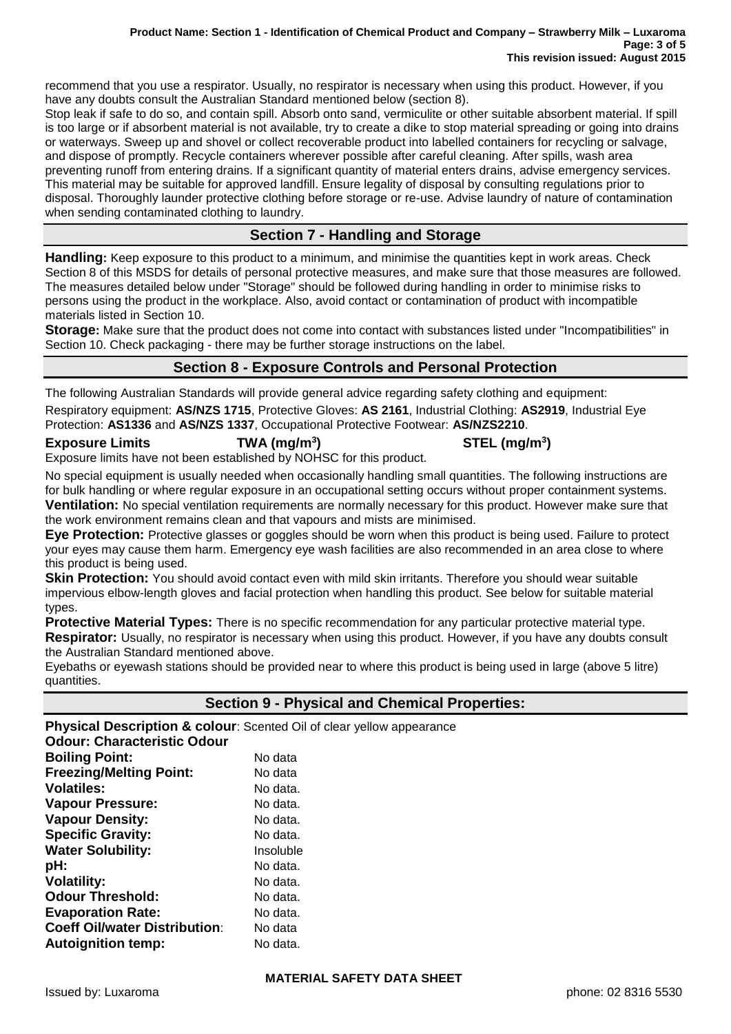#### **Product Name: Section 1 - Identification of Chemical Product and Company – Strawberry Milk – Luxaroma Page: 3 of 5 This revision issued: August 2015**

recommend that you use a respirator. Usually, no respirator is necessary when using this product. However, if you have any doubts consult the Australian Standard mentioned below (section 8).

Stop leak if safe to do so, and contain spill. Absorb onto sand, vermiculite or other suitable absorbent material. If spill is too large or if absorbent material is not available, try to create a dike to stop material spreading or going into drains or waterways. Sweep up and shovel or collect recoverable product into labelled containers for recycling or salvage, and dispose of promptly. Recycle containers wherever possible after careful cleaning. After spills, wash area preventing runoff from entering drains. If a significant quantity of material enters drains, advise emergency services. This material may be suitable for approved landfill. Ensure legality of disposal by consulting regulations prior to disposal. Thoroughly launder protective clothing before storage or re-use. Advise laundry of nature of contamination when sending contaminated clothing to laundry.

# **Section 7 - Handling and Storage**

**Handling:** Keep exposure to this product to a minimum, and minimise the quantities kept in work areas. Check Section 8 of this MSDS for details of personal protective measures, and make sure that those measures are followed. The measures detailed below under "Storage" should be followed during handling in order to minimise risks to persons using the product in the workplace. Also, avoid contact or contamination of product with incompatible materials listed in Section 10.

**Storage:** Make sure that the product does not come into contact with substances listed under "Incompatibilities" in Section 10. Check packaging - there may be further storage instructions on the label.

# **Section 8 - Exposure Controls and Personal Protection**

The following Australian Standards will provide general advice regarding safety clothing and equipment:

Respiratory equipment: **AS/NZS 1715**, Protective Gloves: **AS 2161**, Industrial Clothing: **AS2919**, Industrial Eye Protection: **AS1336** and **AS/NZS 1337**, Occupational Protective Footwear: **AS/NZS2210**.

#### **Exposure Limits TWA (mg/m<sup>3</sup>**

**) STEL (mg/m<sup>3</sup> )** Exposure limits have not been established by NOHSC for this product.

No special equipment is usually needed when occasionally handling small quantities. The following instructions are for bulk handling or where regular exposure in an occupational setting occurs without proper containment systems. **Ventilation:** No special ventilation requirements are normally necessary for this product. However make sure that the work environment remains clean and that vapours and mists are minimised.

**Eye Protection:** Protective glasses or goggles should be worn when this product is being used. Failure to protect your eyes may cause them harm. Emergency eye wash facilities are also recommended in an area close to where this product is being used.

**Skin Protection:** You should avoid contact even with mild skin irritants. Therefore you should wear suitable impervious elbow-length gloves and facial protection when handling this product. See below for suitable material types.

**Protective Material Types:** There is no specific recommendation for any particular protective material type. **Respirator:** Usually, no respirator is necessary when using this product. However, if you have any doubts consult the Australian Standard mentioned above.

Eyebaths or eyewash stations should be provided near to where this product is being used in large (above 5 litre) quantities.

## **Section 9 - Physical and Chemical Properties:**

**Physical Description & colour:** Scented Oil of clear yellow appearance **Odour: Characteristic Odour Boiling Point:** No data **Freezing/Melting Point:** No data **Volatiles:** No data. **Vapour Pressure:** No data. **Vapour Density:** No data. **Specific Gravity:** No data. **Water Solubility:** Insoluble **pH:** No data. **Volatility:** No data. **Odour Threshold:** No data. **Evaporation Rate:** No data. **Coeff Oil/water Distribution:** No data **Autoignition temp:** No data.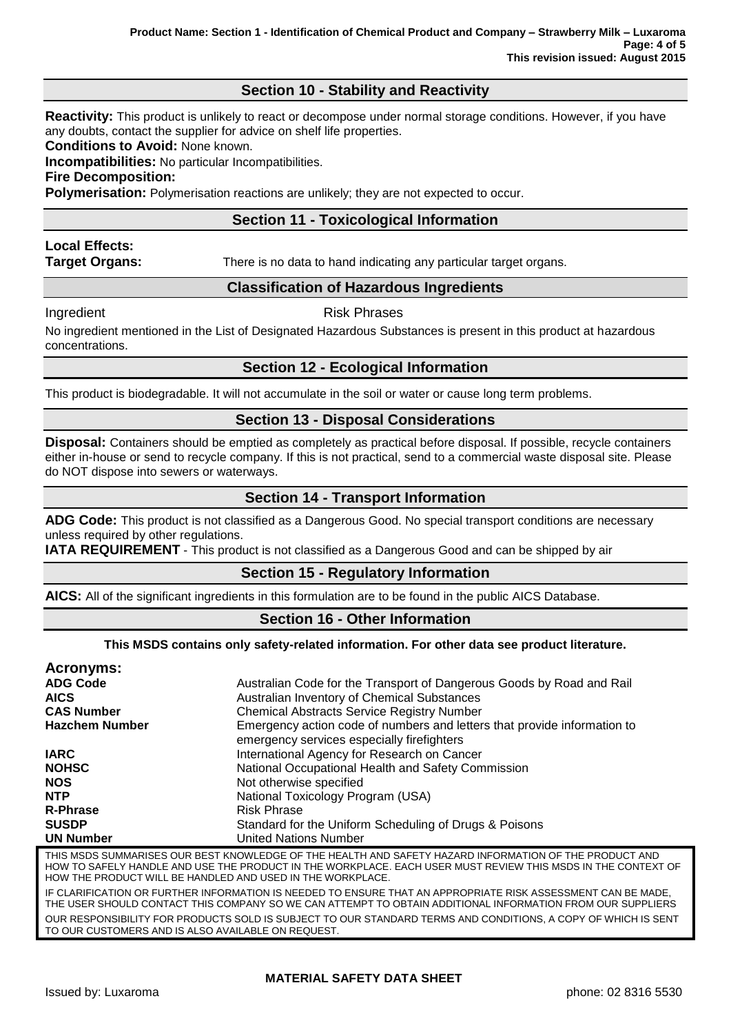# **Section 10 - Stability and Reactivity**

**Reactivity:** This product is unlikely to react or decompose under normal storage conditions. However, if you have any doubts, contact the supplier for advice on shelf life properties.

**Conditions to Avoid:** None known.

**Incompatibilities:** No particular Incompatibilities.

**Fire Decomposition:**

**Polymerisation:** Polymerisation reactions are unlikely; they are not expected to occur.

# **Section 11 - Toxicological Information**

# **Local Effects:**

**Target Organs:** There is no data to hand indicating any particular target organs.

## **Classification of Hazardous Ingredients**

#### Ingredient **Risk Phrases**

No ingredient mentioned in the List of Designated Hazardous Substances is present in this product at hazardous concentrations.

## **Section 12 - Ecological Information**

This product is biodegradable. It will not accumulate in the soil or water or cause long term problems.

## **Section 13 - Disposal Considerations**

**Disposal:** Containers should be emptied as completely as practical before disposal. If possible, recycle containers either in-house or send to recycle company. If this is not practical, send to a commercial waste disposal site. Please do NOT dispose into sewers or waterways.

# **Section 14 - Transport Information**

**ADG Code:** This product is not classified as a Dangerous Good. No special transport conditions are necessary unless required by other regulations.

**IATA REQUIREMENT** - This product is not classified as a Dangerous Good and can be shipped by air

## **Section 15 - Regulatory Information**

**AICS:** All of the significant ingredients in this formulation are to be found in the public AICS Database.

## **Section 16 - Other Information**

#### **This MSDS contains only safety-related information. For other data see product literature.**

| Acronyms:                                                  |                                                                                                                                                                                                                        |  |  |
|------------------------------------------------------------|------------------------------------------------------------------------------------------------------------------------------------------------------------------------------------------------------------------------|--|--|
| <b>ADG Code</b>                                            | Australian Code for the Transport of Dangerous Goods by Road and Rail                                                                                                                                                  |  |  |
| <b>AICS</b>                                                | Australian Inventory of Chemical Substances                                                                                                                                                                            |  |  |
| <b>CAS Number</b>                                          | <b>Chemical Abstracts Service Registry Number</b>                                                                                                                                                                      |  |  |
| <b>Hazchem Number</b>                                      | Emergency action code of numbers and letters that provide information to<br>emergency services especially firefighters                                                                                                 |  |  |
| <b>IARC</b>                                                | International Agency for Research on Cancer                                                                                                                                                                            |  |  |
| <b>NOHSC</b>                                               | National Occupational Health and Safety Commission                                                                                                                                                                     |  |  |
| <b>NOS</b>                                                 | Not otherwise specified                                                                                                                                                                                                |  |  |
| <b>NTP</b>                                                 | National Toxicology Program (USA)                                                                                                                                                                                      |  |  |
| <b>R-Phrase</b>                                            | <b>Risk Phrase</b>                                                                                                                                                                                                     |  |  |
| <b>SUSDP</b>                                               | Standard for the Uniform Scheduling of Drugs & Poisons                                                                                                                                                                 |  |  |
| <b>UN Number</b>                                           | <b>United Nations Number</b>                                                                                                                                                                                           |  |  |
| HOW THE PRODUCT WILL BE HANDLED AND USED IN THE WORKPLACE. | THIS MSDS SUMMARISES OUR BEST KNOWLEDGE OF THE HEALTH AND SAFETY HAZARD INFORMATION OF THE PRODUCT AND<br>HOW TO SAFELY HANDLE AND USE THE PRODUCT IN THE WORKPLACE. EACH USER MUST REVIEW THIS MSDS IN THE CONTEXT OF |  |  |

IF CLARIFICATION OR FURTHER INFORMATION IS NEEDED TO ENSURE THAT AN APPROPRIATE RISK ASSESSMENT CAN BE MADE, THE USER SHOULD CONTACT THIS COMPANY SO WE CAN ATTEMPT TO OBTAIN ADDITIONAL INFORMATION FROM OUR SUPPLIERS OUR RESPONSIBILITY FOR PRODUCTS SOLD IS SUBJECT TO OUR STANDARD TERMS AND CONDITIONS, A COPY OF WHICH IS SENT TO OUR CUSTOMERS AND IS ALSO AVAILABLE ON REQUEST.